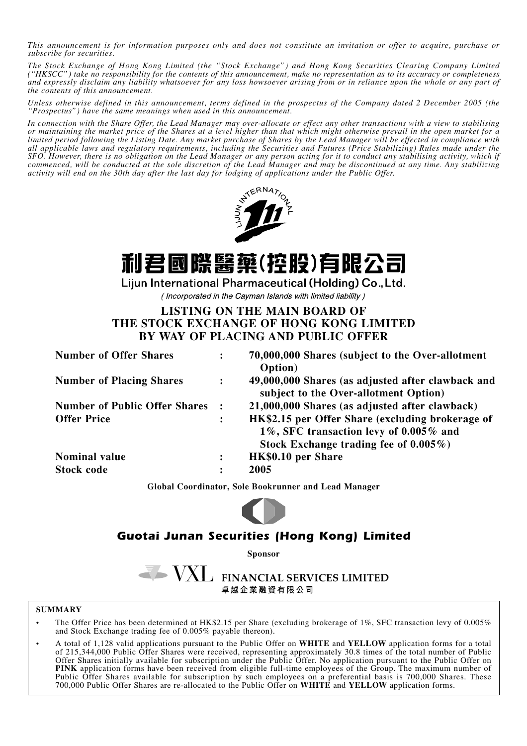*This announcement is for information purposes only and does not constitute an invitation or offer to acquire, purchase or subscribe for securities.*

*The Stock Exchange of Hong Kong Limited (the "Stock Exchange") and Hong Kong Securities Clearing Company Limited* and expressly disclaim any liability whatsoever for any loss howsoever arising from or in reliance upon the whole or any part of *the contents of this announcement.*

*Unless otherwise defined in this announcement, terms defined in the prospectus of the Company dated 2 December 2005 (the "Prospectus") have the same meanings when used in this announcement.*

*In connection with the Share Offer, the Lead Manager may over-allocate or effect any other transactions with a view to stabilising* or maintaining the market price of the Shares at a level higher than that which might otherwise prevail in the open market for a<br>limited period following the Listing Date. Any market purchase of Shares by the Lead Manager *all applicable laws and regulatory requirements, including the Securities and Futures (Price Stabilizing) Rules made under the SFO. However, there is no obligation on the Lead Manager or any person acting for it to conduct any stabilising activity, which if commenced, will be conducted at the sole discretion of the Lead Manager and may be discontinued at any time. Any stabilizing activity will end on the 30th day after the last day for lodging of applications under the Public Offer.*



# 利君國際醫藥(控股)有限公司

Lijun International Pharmaceutical (Holding) Co., Ltd.

(Incorporated in the Cayman Islands with limited liability)

# **LISTING ON THE MAIN BOARD OF THE STOCK EXCHANGE OF HONG KONG LIMITED BY WAY OF PLACING AND PUBLIC OFFER**

| <b>Number of Offer Shares</b>        | $\ddot{\cdot}$ | 70,000,000 Shares (subject to the Over-allotment<br>Option)                                                                             |
|--------------------------------------|----------------|-----------------------------------------------------------------------------------------------------------------------------------------|
| <b>Number of Placing Shares</b>      | $\ddot{\cdot}$ | 49,000,000 Shares (as adjusted after clawback and<br>subject to the Over-allotment Option)                                              |
| <b>Number of Public Offer Shares</b> |                | 21,000,000 Shares (as adjusted after clawback)                                                                                          |
| <b>Offer Price</b>                   | $\ddot{\cdot}$ | HK\$2.15 per Offer Share (excluding brokerage of<br>1%, SFC transaction levy of 0.005% and<br>Stock Exchange trading fee of $0.005\%$ ) |
| <b>Nominal value</b>                 | $\ddot{\cdot}$ | HK\$0.10 per Share                                                                                                                      |
| <b>Stock code</b>                    | $\ddot{\cdot}$ | 2005                                                                                                                                    |

**Global Coordinator, Sole Bookrunner and Lead Manager**



# *Guotai Junan Securities (Hong Kong) Limited*

**Sponsor**

VXL FINANCIAL SERVICES LIMITED 卓 越 企 業 融 資 有 限 公 司

### **SUMMARY**

- The Offer Price has been determined at HK\$2.15 per Share (excluding brokerage of 1%, SFC transaction levy of 0.005% and Stock Exchange trading fee of 0.005% payable thereon).
- A total of 1,128 valid applications pursuant to the Public Offer on **WHITE** and **YELLOW** application forms for a total of 215,344,000 Public Offer Shares were received, representing approximately 30.8 times of the total number of Public Offer Shares initially available for subscription under the Public Offer. No application pursuant to the Public Offer on **PINK** application forms have been received from eligible full-time employees of the Group. The maximum number of Public Offer Shares available for subscription by such employees on a preferential basis is 700,000 Shares. These 700,000 Public Offer Shares are re-allocated to the Public Offer on **WHITE** and **YELLOW** application forms.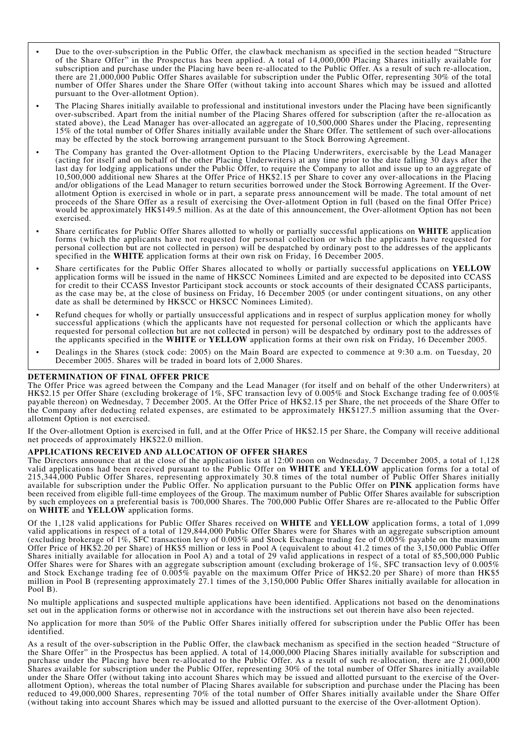- Due to the over-subscription in the Public Offer, the clawback mechanism as specified in the section headed "Structure of the Share Offer" in the Prospectus has been applied. A total of 14,000,000 Placing Shares initially available for subscription and purchase under the Placing have been re-allocated to the Public Offer. As a result of such re-allocation, there are 21,000,000 Public Offer Shares available for subscription under the Public Offer, representing 30% of the total number of Offer Shares under the Share Offer (without taking into account Shares which may be issued and allotted pursuant to the Over-allotment Option).
- The Placing Shares initially available to professional and institutional investors under the Placing have been significantly over-subscribed. Apart from the initial number of the Placing Shares offered for subscription (after the re-allocation as stated above), the Lead Manager has over-allocated an aggregate of 10,500,000 Shares under the Placing, representing 15% of the total number of Offer Shares initially available under the Share Offer. The settlement of such over-allocations may be effected by the stock borrowing arrangement pursuant to the Stock Borrowing Agreement.
- The Company has granted the Over-allotment Option to the Placing Underwriters, exercisable by the Lead Manager (acting for itself and on behalf of the other Placing Underwriters) at any time prior to the date falling 30 days after the last day for lodging applications under the Public Offer, to require the Company to allot and issue up to an aggregate of 10,500,000 additional new Shares at the Offer Price of HK\$2.15 per Share to cover any over-allocations in the Placing and/or obligations of the Lead Manager to return securities borrowed under the Stock Borrowing Agreement. If the Overallotment Option is exercised in whole or in part, a separate press announcement will be made. The total amount of net proceeds of the Share Offer as a result of exercising the Over-allotment Option in full (based on the final Offer Price) would be approximately HK\$149.5 million. As at the date of this announcement, the Over-allotment Option has not been exercised.
- Share certificates for Public Offer Shares allotted to wholly or partially successful applications on **WHITE** application forms (which the applicants have not requested for personal collection or which the applicants have requested for personal collection but are not collected in person) will be despatched by ordinary post to the addresses of the applicants specified in the **WHITE** application forms at their own risk on Friday, 16 December 2005.
- Share certificates for the Public Offer Shares allocated to wholly or partially successful applications on **YELLOW** application forms will be issued in the name of HKSCC Nominees Limited and are expected to be deposited into CCASS for credit to their CCASS Investor Participant stock accounts or stock accounts of their designated CCASS participants, as the case may be, at the close of business on Friday, 16 December 2005 (or under contingent situations, on any other date as shall be determined by HKSCC or HKSCC Nominees Limited).
- Refund cheques for wholly or partially unsuccessful applications and in respect of surplus application money for wholly successful applications (which the applicants have not requested for personal collection or which the applicants have requested for personal collection but are not collected in person) will be despatched by ordinary post to the addresses of the applicants specified in the **WHITE** or **YELLOW** application forms at their own risk on Friday, 16 December 2005.
- Dealings in the Shares (stock code: 2005) on the Main Board are expected to commence at 9:30 a.m. on Tuesday, 20 December 2005. Shares will be traded in board lots of 2,000 Shares.

#### **DETERMINATION OF FINAL OFFER PRICE**

The Offer Price was agreed between the Company and the Lead Manager (for itself and on behalf of the other Underwriters) at HK\$2.15 per Offer Share (excluding brokerage of 1%, SFC transaction levy of 0.005% and Stock Exchange trading fee of 0.005% payable thereon) on Wednesday, 7 December 2005. At the Offer Price of HK\$2.15 per Share, the net proceeds of the Share Offer to the Company after deducting related expenses, are estimated to be approximately HK\$127.5 million assuming that the Overallotment Option is not exercised.

If the Over-allotment Option is exercised in full, and at the Offer Price of HK\$2.15 per Share, the Company will receive additional net proceeds of approximately HK\$22.0 million.

#### **APPLICATIONS RECEIVED AND ALLOCATION OF OFFER SHARES**

The Directors announce that at the close of the application lists at 12:00 noon on Wednesday, 7 December 2005, a total of 1,128 valid applications had been received pursuant to the Public Offer on **WHITE** and **YELLOW** application forms for a total of 215,344,000 Public Offer Shares, representing approximately 30.8 times of the total number of Public Offer Shares initially available for subscription under the Public Offer. No application pursuant to the Public Offer on **PINK** application forms have been received from eligible full-time employees of the Group. The maximum number of Public Offer Shares available for subscription by such employees on a preferential basis is 700,000 Shares. The 700,000 Public Offer Shares are re-allocated to the Public Offer on **WHITE** and **YELLOW** application forms.

Of the 1,128 valid applications for Public Offer Shares received on **WHITE** and **YELLOW** application forms, a total of 1,099 valid applications in respect of a total of 129,844,000 Public Offer Shares were for Shares with an aggregate subscription amount (excluding brokerage of 1%, SFC transaction levy of 0.005% and Stock Exchange trading fee of 0.005% payable on the maximum Offer Price of HK\$2.20 per Share) of HK\$5 million or less in Pool A (equivalent to about 41.2 times of the 3,150,000 Public Offer<br>Shares initially available for allocation in Pool A) and a total of 29 valid applications in Offer Shares were for Shares with an aggregate subscription amount (excluding brokerage of  $1\%$ , SFC transaction levy of 0.005% and Stock Exchange trading fee of 0.005% payable on the maximum Offer Price of HK\$2.20 per Share) of more than HK\$5 million in Pool B (representing approximately 27.1 times of the 3,150,000 Public Offer Shares initially available for allocation in Pool **B**).

No multiple applications and suspected multiple applications have been identified. Applications not based on the denominations set out in the application forms or otherwise not in accordance with the instructions set out therein have also been rejected.

No application for more than 50% of the Public Offer Shares initially offered for subscription under the Public Offer has been identified.

As a result of the over-subscription in the Public Offer, the clawback mechanism as specified in the section headed "Structure of the Share Offer" in the Prospectus has been applied. A total of 14,000,000 Placing Shares initially available for subscription and purchase under the Placing have been re-allocated to the Public Offer. As a result of such re-allocation, there are 21,000,000 Shares available for subscription under the Public Offer, representing 30% of the total number of Offer Shares initially available under the Share Offer (without taking into account Shares which may be issued and allotted pursuant to the exercise of the Over-<br>allotment Option), whereas the total number of Placing Shares available for subscription and (without taking into account Shares which may be issued and allotted pursuant to the exercise of the Over-allotment Option).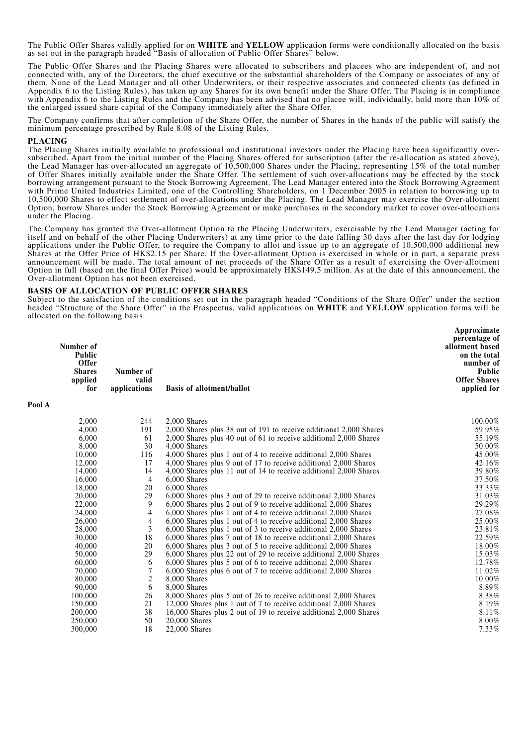The Public Offer Shares validly applied for on **WHITE** and **YELLOW** application forms were conditionally allocated on the basis as set out in the paragraph headed "Basis of allocation of Public Offer Shares" below.

The Public Offer Shares and the Placing Shares were allocated to subscribers and placees who are independent of, and not connected with, any of the Directors, the chief executive or the substantial shareholders of the Company or associates of any of them. None of the Lead Manager and all other Underwriters, or their respective associates and connected clients (as defined in Appendix 6 to the Listing Rules), has taken up any Shares for its own benefit under the Share O with Appendix 6 to the Listing Rules and the Company has been advised that no placee will, individually, hold more than  $10\%$  of the enlarged issued share capital of the Company immediately after the Share Offer.

The Company confirms that after completion of the Share Offer, the number of Shares in the hands of the public will satisfy the minimum percentage prescribed by Rule 8.08 of the Listing Rules.

**P**<sub>0</sub>

**PLACING**<br>The Placing Shares initially available to professional and institutional investors under the Placing have been significantly oversubscribed. Apart from the initial number of the Placing Shares offered for subscription (after the re-allocation as stated above), the Lead Manager has over-allocated an aggregate of 10,500,000 Shares under the Placing, representing 15% of the total number of Offer Shares initially available under the Share Offer. The settlement of such over-allocations may be effected by the stock borrowing arrangement pursuant to the Stock Borrowing Agreement. The Lead Manager entered into the Stock Borrowing Agreement with Prime United Industries Limited, one of the Controlling Shareholders, on 1 December 2005 in relation to borrowing up to 10,500,000 Shares to effect settlement of over-allocations under the Placing. The Lead Manager may exercise the Over-allotment Option, borrow Shares under the Stock Borrowing Agreement or make purchases in the secondary market to cover over-allocations under the Placing.

The Company has granted the Over-allotment Option to the Placing Underwriters, exercisable by the Lead Manager (acting for itself and on behalf of the other Placing Underwriters) at any time prior to the date falling 30 days after the last day for lodging applications under the Public Offer, to require the Company to allot and issue up to an aggregate of 10,500,000 additional new Shares at the Offer Price of HK\$2.15 per Share. If the Over-allotment Option is exercised in whole or in part, a separate press announcement will be made. The total amount of net proceeds of the Share Offer as a result of exercising the Over-allotment Option in full (based on the final Offer Price) would be approximately HK\$149.5 million. As at the date of this announcement, the Over-allotment Option has not been exercised.

#### **BASIS OF ALLOCATION OF PUBLIC OFFER SHARES**

Subject to the satisfaction of the conditions set out in the paragraph headed "Conditions of the Share Offer" under the section headed "Structure of the Share Offer" in the Prospectus, valid applications on **WHITE** and **YELLOW** application forms will be allocated on the following basis:

**Approximate**

|      | Number of<br><b>Public</b><br><b>Offer</b><br><b>Shares</b><br>applied<br>for | Number of<br>valid<br>applications | <b>Basis of allotment/ballot</b>                                                                                                      | дррголицате<br>percentage of<br>allotment based<br>on the total<br>number of<br><b>Public</b><br><b>Offer Shares</b><br>applied for |
|------|-------------------------------------------------------------------------------|------------------------------------|---------------------------------------------------------------------------------------------------------------------------------------|-------------------------------------------------------------------------------------------------------------------------------------|
| ol A |                                                                               |                                    |                                                                                                                                       |                                                                                                                                     |
|      | 2,000                                                                         | 244                                | 2,000 Shares                                                                                                                          | 100.00%                                                                                                                             |
|      | 4,000                                                                         | 191                                | 2,000 Shares plus 38 out of 191 to receive additional 2,000 Shares                                                                    | 59.95%                                                                                                                              |
|      | 6,000                                                                         | 61                                 | 2,000 Shares plus 40 out of 61 to receive additional 2,000 Shares                                                                     | 55.19%                                                                                                                              |
|      | 8,000                                                                         | 30                                 | 4,000 Shares                                                                                                                          | 50.00%                                                                                                                              |
|      | 10,000                                                                        | 116<br>17                          | 4,000 Shares plus 1 out of 4 to receive additional 2,000 Shares                                                                       | 45.00%<br>42.16%                                                                                                                    |
|      | 12,000<br>14,000                                                              | 14                                 | 4,000 Shares plus 9 out of 17 to receive additional 2,000 Shares                                                                      | 39.80%                                                                                                                              |
|      | 16,000                                                                        | $\overline{4}$                     | 4,000 Shares plus 11 out of 14 to receive additional 2,000 Shares<br>6,000 Shares                                                     | 37.50%                                                                                                                              |
|      | 18,000                                                                        | 20                                 | 6,000 Shares                                                                                                                          | 33.33%                                                                                                                              |
|      | 20,000                                                                        | 29                                 | 6,000 Shares plus 3 out of 29 to receive additional 2,000 Shares                                                                      | 31.03%                                                                                                                              |
|      | 22,000                                                                        | 9                                  | 6,000 Shares plus 2 out of 9 to receive additional 2,000 Shares                                                                       | 29.29%                                                                                                                              |
|      | 24,000                                                                        | $\overline{4}$                     | 6,000 Shares plus 1 out of 4 to receive additional 2,000 Shares                                                                       | 27.08%                                                                                                                              |
|      | 26,000                                                                        | $\overline{4}$                     | 6,000 Shares plus 1 out of 4 to receive additional 2,000 Shares                                                                       | 25.00%                                                                                                                              |
|      | 28,000                                                                        | 3                                  | 6,000 Shares plus 1 out of 3 to receive additional 2,000 Shares                                                                       | 23.81%                                                                                                                              |
|      | 30,000                                                                        | 18                                 | 6,000 Shares plus 7 out of 18 to receive additional 2,000 Shares                                                                      | 22.59%                                                                                                                              |
|      | 40,000                                                                        | 20                                 | 6,000 Shares plus 3 out of 5 to receive additional 2,000 Shares                                                                       | 18.00%                                                                                                                              |
|      | 50,000                                                                        | 29                                 | 6,000 Shares plus 22 out of 29 to receive additional 2,000 Shares                                                                     | 15.03%                                                                                                                              |
|      | 60,000                                                                        | 6                                  | 6,000 Shares plus 5 out of 6 to receive additional 2,000 Shares                                                                       | 12.78%                                                                                                                              |
|      | 70,000                                                                        | 7                                  | 6,000 Shares plus 6 out of 7 to receive additional 2,000 Shares                                                                       | 11.02%                                                                                                                              |
|      | 80,000                                                                        | $\overline{c}$                     | 8,000 Shares                                                                                                                          | 10.00%                                                                                                                              |
|      | 90,000                                                                        | 6                                  | 8,000 Shares                                                                                                                          | 8.89%                                                                                                                               |
|      | 100,000                                                                       | 26                                 | 8,000 Shares plus 5 out of 26 to receive additional 2,000 Shares                                                                      | 8.38%                                                                                                                               |
|      | 150,000<br>200,000                                                            | 21<br>38                           | 12,000 Shares plus 1 out of 7 to receive additional 2,000 Shares<br>16,000 Shares plus 2 out of 19 to receive additional 2,000 Shares | 8.19%<br>8.11%                                                                                                                      |
|      | 250,000                                                                       | 50                                 | 20,000 Shares                                                                                                                         | 8.00%                                                                                                                               |
|      | 300,000                                                                       | 18                                 | 22,000 Shares                                                                                                                         | 7.33%                                                                                                                               |
|      |                                                                               |                                    |                                                                                                                                       |                                                                                                                                     |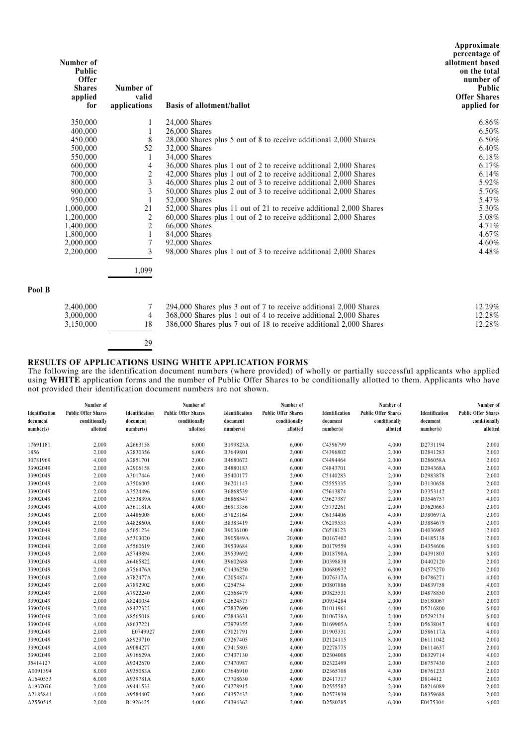| Number of<br><b>Public</b><br><b>Offer</b><br><b>Shares</b><br>applied<br>for | Number of<br>valid<br>applications | <b>Basis of allotment/ballot</b>                                                  | Approximate<br>percentage of<br>allotment based<br>on the total<br>number of<br>Public<br><b>Offer Shares</b><br>applied for |
|-------------------------------------------------------------------------------|------------------------------------|-----------------------------------------------------------------------------------|------------------------------------------------------------------------------------------------------------------------------|
| 350,000                                                                       |                                    | 24,000 Shares                                                                     | 6.86%                                                                                                                        |
| 400,000                                                                       | 1                                  | $26,000$ Shares                                                                   | 6.50%                                                                                                                        |
| 450,000                                                                       | 8                                  | 28,000 Shares plus 5 out of 8 to receive additional 2,000 Shares                  | 6.50%                                                                                                                        |
| 500,000                                                                       | 52                                 | 32,000 Shares                                                                     | $6.40\%$                                                                                                                     |
| 550,000                                                                       | 1                                  | 34,000 Shares                                                                     | 6.18%                                                                                                                        |
| 600,000                                                                       | 4                                  | 36,000 Shares plus 1 out of 2 to receive additional 2,000 Shares                  | $6.17\%$                                                                                                                     |
| 700,000                                                                       | $\boldsymbol{2}$                   | 42,000 Shares plus 1 out of 2 to receive additional 2,000 Shares                  | 6.14%                                                                                                                        |
| 800,000                                                                       | 3                                  | 46,000 Shares plus 2 out of 3 to receive additional 2,000 Shares                  | 5.92%                                                                                                                        |
| 900,000                                                                       | 3                                  | 50,000 Shares plus 2 out of 3 to receive additional 2,000 Shares                  | 5.70%                                                                                                                        |
| 950,000                                                                       | $\mathbf{1}$                       | 52,000 Shares                                                                     | 5.47%                                                                                                                        |
| 1,000,000                                                                     | 21                                 | 52,000 Shares plus 11 out of 21 to receive additional 2,000 Shares                | 5.30%                                                                                                                        |
| 1,200,000                                                                     | $\mathfrak{2}$                     | 60,000 Shares plus 1 out of 2 to receive additional 2,000 Shares                  | 5.08%                                                                                                                        |
| 1,400,000                                                                     | $\overline{c}$                     | 66,000 Shares                                                                     | 4.71%                                                                                                                        |
| 1,800,000                                                                     | 1                                  | 84,000 Shares                                                                     | 4.67%                                                                                                                        |
| 2,000,000<br>2,200,000                                                        | 7<br>3                             | 92,000 Shares<br>98,000 Shares plus 1 out of 3 to receive additional 2,000 Shares | 4.60%<br>4.48%                                                                                                               |
|                                                                               | 1,099                              |                                                                                   |                                                                                                                              |
| Pool B                                                                        |                                    |                                                                                   |                                                                                                                              |
| 2,400,000                                                                     | 7                                  | 294,000 Shares plus 3 out of 7 to receive additional 2,000 Shares                 | 12.29%                                                                                                                       |
| 3,000,000                                                                     | 4                                  | 368,000 Shares plus 1 out of 4 to receive additional 2,000 Shares                 | 12.28%                                                                                                                       |
| 3,150,000                                                                     | 18                                 | 386,000 Shares plus 7 out of 18 to receive additional 2,000 Shares                | 12.28%                                                                                                                       |
|                                                                               | 29                                 |                                                                                   |                                                                                                                              |

#### **RESULTS OF APPLICATIONS USING WHITE APPLICATION FORMS**

The following are the identification document numbers (where provided) of wholly or partially successful applicants who applied using **WHITE** application forms and the number of Public Offer Shares to be conditionally allotted to them. Applicants who have not provided their identification document numbers are not shown.

| Identification<br>document<br>number(s) | Number of<br><b>Public Offer Shares</b><br>conditionally<br>allotted | Identification<br>document<br>number(s) | Number of<br><b>Public Offer Shares</b><br>conditionally<br>allotted | Identification<br>document<br>number(s) | Number of<br><b>Public Offer Shares</b><br>conditionally<br>allotted | Identification<br>document<br>number(s) | Number of<br><b>Public Offer Shares</b><br>conditionally<br>allotted | Identification<br>document<br>number(s) | Number of<br><b>Public Offer Shares</b><br>conditionally<br>allotted |
|-----------------------------------------|----------------------------------------------------------------------|-----------------------------------------|----------------------------------------------------------------------|-----------------------------------------|----------------------------------------------------------------------|-----------------------------------------|----------------------------------------------------------------------|-----------------------------------------|----------------------------------------------------------------------|
| 17691181                                | 2,000                                                                | A2663158                                | 6,000                                                                | B199823A                                | 6,000                                                                | C4396799                                | 4,000                                                                | D2731194                                | 2,000                                                                |
| 1856                                    | 2,000                                                                | A2830356                                | 6,000                                                                | B3649801                                | 2,000                                                                | C4396802                                | 2,000                                                                | D2841283                                | 2,000                                                                |
| 30781969                                | 4,000                                                                | A2851701                                | 2,000                                                                | B4680672                                | 6,000                                                                | C4494464                                | 2,000                                                                | D286058A                                | 2,000                                                                |
| 33902049                                | 2,000                                                                | A2906158                                | 2,000                                                                | B4880183                                | 6,000                                                                | C4843701                                | 4,000                                                                | D294368A                                | 2,000                                                                |
| 33902049                                | 2,000                                                                | A3017446                                | 2,000                                                                | B5400177                                | 2,000                                                                | C5140283                                | 2,000                                                                | D2983878                                | 2,000                                                                |
| 33902049                                | 2,000                                                                | A3506005                                | 4,000                                                                | B6201143                                | 2,000                                                                | C5555335                                | 2,000                                                                | D3130658                                | 2,000                                                                |
| 33902049                                | 2,000                                                                | A3524496                                | 6,000                                                                | B6868539                                | 4,000                                                                | C5613874                                | 2,000                                                                | D3353142                                | 2,000                                                                |
| 33902049                                | 2,000                                                                | A353839A                                | 8,000                                                                | B6868547                                | 4,000                                                                | C5627387                                | 2,000                                                                | D3546757                                | 4,000                                                                |
| 33902049                                | 4,000                                                                | A361181A                                | 4,000                                                                | B6913356                                | 2,000                                                                | C5732261                                | 2,000                                                                | D3620663                                | 2,000                                                                |
| 33902049                                | 2,000                                                                | A4486008                                | 6,000                                                                | B7823164                                | 2,000                                                                | C6134406                                | 4,000                                                                | D380697A                                | 2,000                                                                |
| 33902049                                | 2,000                                                                | A482860A                                | 8,000                                                                | B8383419                                | 2,000                                                                | C6219533                                | 4,000                                                                | D3884679                                | 2,000                                                                |
| 33902049                                | 2,000                                                                | A5051234                                | 2,000                                                                | B9036100                                | 4,000                                                                | C6518123                                | 2,000                                                                | D4036965                                | 2,000                                                                |
| 33902049                                | 2,000                                                                | A5303020                                | 2,000                                                                | B905849A                                | 20,000                                                               | D0167402                                | 2,000                                                                | D4185138                                | 2,000                                                                |
| 33902049                                | 2,000                                                                | A5560619                                | 2,000                                                                | B9539684                                | 8,000                                                                | D0179559                                | 4,000                                                                | D4354606                                | 6,000                                                                |
| 33902049                                | 2,000                                                                | A5749894                                | 2,000                                                                | B9539692                                | 4,000                                                                | D018790A                                | 2,000                                                                | D4391803                                | 6,000                                                                |
| 33902049                                | 4,000                                                                | A6465822                                | 4,000                                                                | B9602688                                | 2,000                                                                | D0398838                                | 2,000                                                                | D4402120                                | 2,000                                                                |
| 33902049                                | 2,000                                                                | A756476A                                | 2,000                                                                | C1436250                                | 2,000                                                                | D0680932                                | 6,000                                                                | D4575270                                | 2,000                                                                |
| 33902049                                | 2,000                                                                | A782477A                                | 2,000                                                                | C2054874                                | 2,000                                                                | D076317A                                | 6,000                                                                | D4786271                                | 4.000                                                                |
| 33902049                                | 2,000                                                                | A7892902                                | 6,000                                                                | C254754                                 | 2,000                                                                | D0807886                                | 8,000                                                                | D4839758                                | 4,000                                                                |
| 33902049                                | 2,000                                                                | A7922240                                | 2,000                                                                | C2568479                                | 4,000                                                                | D0825531                                | 8,000                                                                | D4878850                                | 2,000                                                                |
| 33902049                                | 2,000                                                                | A8240054                                | 4,000                                                                | C2624573                                | 2,000                                                                | D0934284                                | 2,000                                                                | D5180067                                | 2,000                                                                |
| 33902049                                | 2,000                                                                | A8422322                                | 4,000                                                                | C2837690                                | 6,000                                                                | D1011961                                | 4,000                                                                | D5216800                                | 6.000                                                                |
| 33902049                                | 2,000                                                                | A8565018                                | 6,000                                                                | C2843631                                | 2,000                                                                | D106738A                                | 2,000                                                                | D5292124                                | 6,000                                                                |
| 33902049                                | 4,000                                                                | A8637221                                |                                                                      | C2979355                                | 2,000                                                                | D169905A                                | 2,000                                                                | D5638047                                | 8,000                                                                |
| 33902049                                | 2,000                                                                | E0749927                                | 2,000                                                                | C3021791                                | 2,000                                                                | D1903331                                | 2,000                                                                | D586117A                                | 4,000                                                                |
| 33902049                                | 2,000                                                                | A8929710                                | 2,000                                                                | C3267405                                | 8,000                                                                | D2124115                                | 8,000                                                                | D6111042                                | 2,000                                                                |
| 33902049                                | 4,000                                                                | A9084277                                | 4,000                                                                | C3415803                                | 4,000                                                                | D2278775                                | 2,000                                                                | D6114637                                | 2,000                                                                |
| 33902049                                | 2,000                                                                | A916629A                                | 2,000                                                                | C3437130                                | 4,000                                                                | D2304008                                | 2,000                                                                | D6329714                                | 4,000                                                                |
| 35414127                                | 4,000                                                                | A9242670                                | 2,000                                                                | C3470987                                | 6,000                                                                | D2322499                                | 2,000                                                                | D6757430                                | 2,000                                                                |
| A0091394                                | 8,000                                                                | A935083A                                | 2,000                                                                | C3646910                                | 2,000                                                                | D2365708                                | 4,000                                                                | D6761233                                | 2,000                                                                |
| A1640553                                | 6,000                                                                | A939781A                                | 6,000                                                                | C3708630                                | 4,000                                                                | D2417317                                | 4,000                                                                | D814412                                 | 2,000                                                                |
| A1937076                                | 2,000                                                                | A9441533                                | 2,000                                                                | C4278915                                | 2,000                                                                | D2555582                                | 2,000                                                                | D8216089                                | 2,000                                                                |
| A2185841                                | 4,000                                                                | A9584407                                | 2,000                                                                | C4357432                                | 2,000                                                                | D2573939                                | 2,000                                                                | D8359688                                | 2,000                                                                |
| A2550515                                | 2,000                                                                | B1926425                                | 4,000                                                                | C4394362                                | 2,000                                                                | D2580285                                | 6,000                                                                | E0475304                                | 6,000                                                                |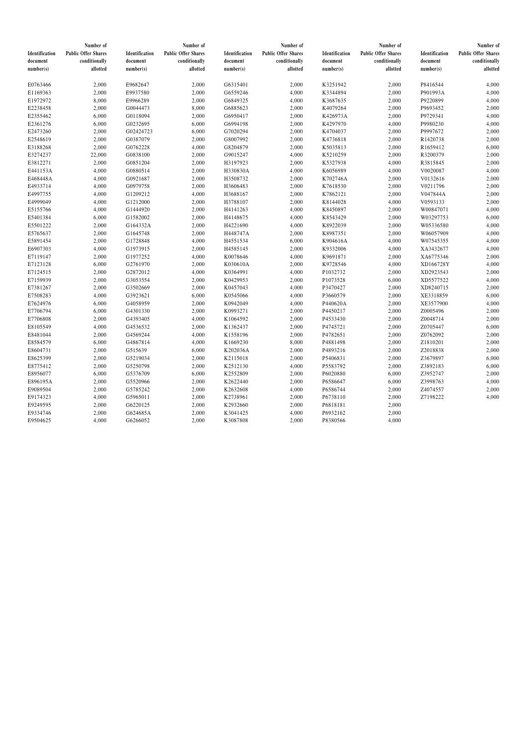|                | Number of                  |                | Number of                  |                | Number of                  |                | Number of                  |                | Number of                  |
|----------------|----------------------------|----------------|----------------------------|----------------|----------------------------|----------------|----------------------------|----------------|----------------------------|
| Identification | <b>Public Offer Shares</b> | Identification | <b>Public Offer Shares</b> | Identification | <b>Public Offer Shares</b> | Identification | <b>Public Offer Shares</b> | Identification | <b>Public Offer Shares</b> |
| document       | conditionally              | document       | conditionally              | document       | conditionally              | document       | conditionally              | document       | conditionally              |
| number(s)      | allotted                   | number(s)      | allotted                   | number(s)      | allotted                   | number(s)      | allotted                   | number(s)      | allotted                   |
|                |                            |                |                            |                |                            |                |                            |                |                            |
| E0763466       | 2,000                      | E9682647       | 2,000                      | G6315401       | 2,000                      | K3251942       | 2,000                      | P8416544       | 4,000                      |
| E1169363       | 2,000                      | E9937580       | 2,000                      | G6559246       | 4,000                      | K3344894       | 2,000                      | P901993A       | 4,000                      |
| E1972972       | 8,000                      | E9966289       | 2,000                      | G6849325       | 4,000                      | K3687635       | 2,000                      | P9220899       | 4,000                      |
| E2238458       | 2,000                      | G0044473       | 8,000                      | G6885623       | 2,000                      | K4079264       | 2,000                      | P9693452       | 2,000                      |
| E2355462       | 6,000                      | G0118094       | 2,000                      | G6950417       | 2,000                      | K426973A       | 2,000                      | P9729341       | 4,000                      |
| E2361276       | 6,000                      | G0232695       | 6,000                      | G6994198       | 2,000                      | K4297970       | 4,000                      | P9980230       | 4,000                      |
| E2473260       | 2,000                      | G02424723      | 6,000                      | G7020294       | 2,000                      | K4704037       | 2,000                      | P9997672       | 2,000                      |
| E2548619       | 2,000                      | G0387079       | 2,000                      | G8007992       | 2,000                      | K4736818       | 2,000                      | R1420738       | 2,000                      |
| E3188268       | 2,000                      | G0762228       | 4,000                      | G8204879       | 2,000                      | K5035813       | 2,000                      | R1659412       | 6,000                      |
| E3274237       | 22,000                     | G0838100       | 2,000                      | G9015247       | 4,000                      | K5210259       | 2,000                      | R3200379       | 2,000                      |
| E3812271       | 2,000                      | G0851204       | 2,000                      | H3197923       | 2,000                      | K5327938       | 4,000                      | R3815845       | 2,000                      |
| E441153A       | 4,000                      | G0880514       | 2,000                      | H330830A       | 4,000                      | K6056989       | 4,000                      | V0020087       | 4,000                      |
| E468448A       | 4,000                      | G0921687       | 2,000                      | H3508732       | 2,000                      | K702746A       | 2,000                      | V0132616       | 2,000                      |
| E4933714       | 4,000                      | G0979758       | 2,000                      | H3606483       | 2,000                      | K7618530       | 2,000                      | V0211796       | 2,000                      |
| E4997755       | 4,000                      | G1209212       | 4,000                      | H3688167       | 2,000                      | K7862121       | 2,000                      | V047844A       | 2,000                      |
| E4999049       | 4,000                      | G1212000       | 2,000                      | H3788107       | 2,000                      | K8144028       | 4,000                      | V0593133       | 2,000                      |
| E5155766       | 4,000                      | G1444920       | 2,000                      | H4141263       | 4,000                      | K8450897       | 2,000                      | W00847071      | 4,000                      |
| E5401384       | 6,000                      | G1582002       | 2,000                      | H4148675       | 4,000                      | K8543429       | 2,000                      | W03297753      | 6,000                      |
| E5501222       | 2,000                      | G164332A       | 2,000                      | H4221690       | 4,000                      | K8922039       | 2,000                      | W05336580      | 4,000                      |
| E5765637       | 2,000                      | G1645748       | 2,000                      | H448747A       | 2,000                      | K8987351       | 2,000                      | W06057909      | 4,000                      |
| E5891454       | 2,000                      | G1728848       | 4,000                      | H4551534       | 6,000                      | K904616A       | 4,000                      | W07545355      | 4,000                      |
| E6907303       | 4,000                      | G1973915       | 2,000                      | H4585145       | 2,000                      | K9332006       | 4,000                      | XA3432677      | 4,000                      |
| E7119147       | 2,000                      | G1977252       | 4,000                      | K0078646       | 4,000                      | K9691871       | 2,000                      | XA6775346      | 2,000                      |
| E7123128       | 6,000                      | G2761970       | 2,000                      | K030610A       | 2,000                      | K9728546       | 4,000                      | XD166728Y      | 4,000                      |
| E7124515       | 2,000                      | G2872012       | 4,000                      | K0364991       | 4,000                      | P1032732       | 2,000                      | XD2923543      | 2,000                      |
| E7159939       | 2,000                      | G3053554       | 2,000                      | K0429953       | 2,000                      | P1073528       | 6,000                      | XD5577522      | 4,000                      |
| E7381267       | 2,000                      | G3502669       | 2,000                      | K0457043       | 4,000                      | P3470427       | 2,000                      | XD8240715      | 2,000                      |
| E7508283       | 4,000                      | G3923621       | 6,000                      | K0545066       | 4,000                      | P3660579       | 2,000                      | XE3318859      | 6,000                      |
| E7624976       | 6,000                      | G4058959       | 2,000                      | K0942049       | 4,000                      | P440620A       | 2,000                      | XE3577900      | 4,000                      |
| E7706794       | 6,000                      | G4301330       | 2,000                      | K0993271       | 2,000                      | P4450217       | 2,000                      | Z0005496       | 2,000                      |
| E7706808       | 2,000                      | G4393405       | 4,000                      | K1064592       | 2,000                      | P4533430       | 2,000                      | Z0048714       | 2,000                      |
| E8105549       | 4,000                      | G4536532       | 2,000                      | K1362437       | 2,000                      | P4745721       | 2,000                      | Z0705447       | 6,000                      |
| E8481044       | 2,000                      | G4569244       | 4,000                      | K1558196       | 2,000                      | P4782651       | 2,000                      | Z0762092       | 2,000                      |
| E8584579       | 6,000                      | G4867814       | 4,000                      | K1669230       | 8,000                      | P4881498       | 2,000                      | Z1810201       | 2,000                      |
| E8604731       | 2,000                      | G515639        | 6,000                      | K202036A       | 2,000                      | P4893216       | 2,000                      | Z2018838       | 2,000                      |
| E8625399       | 2,000                      | G5219034       | 2,000                      | K2115018       | 2,000                      | P5406831       | 2,000                      | Z3679897       | 6,000                      |
| E8775412       | 2,000                      | G5250798       | 2,000                      | K2512130       | 4,000                      | P5583792       | 2,000                      | Z3892183       | 6,000                      |
| E8956077       | 6,000                      | G5376709       | 6,000                      | K2552809       | 2,000                      | P6020880       | 6,000                      | Z3952747       | 2,000                      |
| E896195A       | 2,000                      | G5520966       | 2,000                      | K2622440       | 2,000                      | P6586647       | 6,000                      | Z3998763       | 4,000                      |
| E9089504       | 2,000                      | G5785242       | 2,000                      | K2632608       | 4,000                      | P6586744       | 2,000                      | Z4074557       | 2,000                      |
| E9174323       | 4,000                      | G5965011       | 2,000                      | K2738961       | 2,000                      | P6738110       | 2,000                      | Z7198222       | 4,000                      |
| E9249595       | 2,000                      | G6220125       | 2,000                      | K2932660       | 2,000                      | P6818181       | 2,000                      |                |                            |
| E9334746       | 2,000                      | G624685A       | 2,000                      | K3041425       | 4,000                      | P6932162       | 2,000                      |                |                            |
| E9504625       | 4,000                      | G6266052       | 2,000                      | K3087808       | 2,000                      | P8380566       | 4,000                      |                |                            |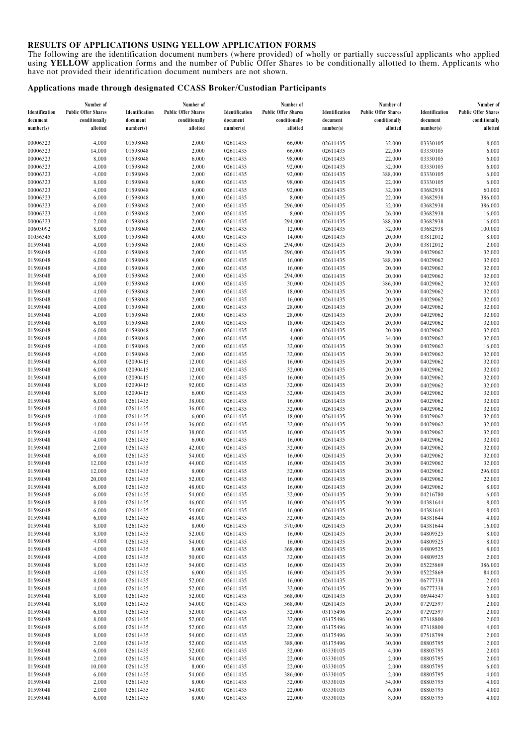#### **RESULTS OF APPLICATIONS USING YELLOW APPLICATION FORMS**

The following are the identification document numbers (where provided) of wholly or partially successful applicants who applied using **YELLOW** application forms and the number of Public Offer Shares to be conditionally allotted to them. Applicants who have not provided their identification document numbers are not shown.

#### **Applications made through designated CCASS Broker/Custodian Participants**

|                | Number of                  |                | Number of                  |                | Number of                  |                | Number of                  |                | Number of                  |
|----------------|----------------------------|----------------|----------------------------|----------------|----------------------------|----------------|----------------------------|----------------|----------------------------|
| Identification | <b>Public Offer Shares</b> | Identification | <b>Public Offer Shares</b> | Identification | <b>Public Offer Shares</b> | Identification | <b>Public Offer Shares</b> | Identification | <b>Public Offer Shares</b> |
| document       | conditionally              | document       | conditionally              | document       | conditionally              | document       | conditionally              | document       | conditionally              |
| number(s)      | allotted                   | number(s)      | allotted                   | number(s)      | allotted                   | number(s)      | allotted                   | number(s)      | allotted                   |
|                |                            |                |                            |                |                            |                |                            |                |                            |
|                |                            |                |                            |                |                            |                |                            |                |                            |
| 00006323       | 4,000                      | 01598048       | 2,000                      | 02611435       | 66,000                     | 02611435       | 32,000                     | 03330105       | 8,000                      |
| 00006323       | 14,000                     | 01598048       | 2,000                      | 02611435       | 66,000                     | 02611435       | 22,000                     | 03330105       | 6,000                      |
| 00006323       | 8,000                      | 01598048       | 6,000                      | 02611435       | 98,000                     | 02611435       | 22,000                     | 03330105       | 6,000                      |
| 00006323       | 4,000                      | 01598048       | 2,000                      | 02611435       | 92,000                     | 02611435       | 32,000                     | 03330105       | 6,000                      |
| 00006323       | 4,000                      | 01598048       | 2,000                      | 02611435       | 92,000                     | 02611435       | 388,000                    | 03330105       | 6,000                      |
| 00006323       | 8,000                      | 01598048       | 6,000                      | 02611435       | 98,000                     | 02611435       | 22,000                     | 03330105       | 6,000                      |
| 00006323       | 4,000                      | 01598048       | 4,000                      | 02611435       | 92,000                     | 02611435       | 32,000                     | 03682938       | 60,000                     |
| 00006323       | 6,000                      | 01598048       | 8,000                      | 02611435       | 8,000                      | 02611435       | 22,000                     | 03682938       | 386,000                    |
| 00006323       | 6,000                      | 01598048       | 2,000                      | 02611435       | 296,000                    | 02611435       | 32,000                     | 03682938       | 386,000                    |
| 00006323       | 4,000                      | 01598048       | 2,000                      | 02611435       | 8,000                      | 02611435       | 26,000                     | 03682938       | 16,000                     |
|                |                            |                |                            |                |                            |                |                            |                |                            |
| 00006323       | 2,000                      | 01598048       | 2,000                      | 02611435       | 294,000                    | 02611435       | 388,000                    | 03682938       | 16,000                     |
| 00603092       | 8,000                      | 01598048       | 2,000                      | 02611435       | 12,000                     | 02611435       | 32,000                     | 03682938       | 100,000                    |
| 01056345       | 8,000                      | 01598048       | 4,000                      | 02611435       | 14,000                     | 02611435       | 20,000                     | 03812012       | 8,000                      |
| 01598048       | 4,000                      | 01598048       | 2,000                      | 02611435       | 294,000                    | 02611435       | 20,000                     | 03812012       | 2,000                      |
| 01598048       | 4,000                      | 01598048       | 2,000                      | 02611435       | 296,000                    | 02611435       | 20,000                     | 04029062       | 32,000                     |
| 01598048       | 6,000                      | 01598048       | 4,000                      | 02611435       | 16,000                     | 02611435       | 388,000                    | 04029062       | 32,000                     |
| 01598048       | 4,000                      | 01598048       | 2,000                      | 02611435       | 16,000                     | 02611435       | 20,000                     | 04029062       | 32,000                     |
| 01598048       | 6,000                      | 01598048       | 2,000                      | 02611435       | 294,000                    | 02611435       | 20,000                     | 04029062       | 32,000                     |
| 01598048       | 4,000                      | 01598048       | 4,000                      | 02611435       | 30,000                     | 02611435       | 386,000                    | 04029062       | 32,000                     |
|                |                            |                |                            |                |                            |                |                            |                |                            |
| 01598048       | 4,000                      | 01598048       | 2,000                      | 02611435       | 18,000                     | 02611435       | 20,000                     | 04029062       | 32,000                     |
| 01598048       | 4,000                      | 01598048       | 2,000                      | 02611435       | 16,000                     | 02611435       | 20,000                     | 04029062       | 32,000                     |
| 01598048       | 4,000                      | 01598048       | 2,000                      | 02611435       | 28,000                     | 02611435       | 20,000                     | 04029062       | 32,000                     |
| 01598048       | 4,000                      | 01598048       | 2,000                      | 02611435       | 28,000                     | 02611435       | 20,000                     | 04029062       | 32,000                     |
| 01598048       | 6,000                      | 01598048       | 2,000                      | 02611435       | 18,000                     | 02611435       | 20,000                     | 04029062       | 32,000                     |
| 01598048       | 6,000                      | 01598048       | 2,000                      | 02611435       | 4,000                      | 02611435       | 20,000                     | 04029062       | 32,000                     |
| 01598048       | 4,000                      | 01598048       | 2,000                      | 02611435       | 4,000                      | 02611435       | 34,000                     | 04029062       | 32,000                     |
| 01598048       | 4,000                      | 01598048       | 2,000                      | 02611435       | 32,000                     | 02611435       | 20,000                     | 04029062       | 16,000                     |
| 01598048       | 4,000                      | 01598048       | 2,000                      | 02611435       | 32,000                     | 02611435       | 20,000                     | 04029062       | 32,000                     |
| 01598048       | 6,000                      |                | 12,000                     |                |                            | 02611435       | 20,000                     | 04029062       |                            |
|                |                            | 02090415       |                            | 02611435       | 16,000                     |                |                            |                | 32,000                     |
| 01598048       | 6,000                      | 02090415       | 12,000                     | 02611435       | 32,000                     | 02611435       | 20,000                     | 04029062       | 32,000                     |
| 01598048       | 6,000                      | 02090415       | 12,000                     | 02611435       | 16,000                     | 02611435       | 20,000                     | 04029062       | 32,000                     |
| 01598048       | 8,000                      | 02090415       | 92,000                     | 02611435       | 32,000                     | 02611435       | 20,000                     | 04029062       | 32,000                     |
| 01598048       | 8,000                      | 02090415       | 6,000                      | 02611435       | 32,000                     | 02611435       | 20,000                     | 04029062       | 32,000                     |
| 01598048       | 6,000                      | 02611435       | 38,000                     | 02611435       | 16,000                     | 02611435       | 20,000                     | 04029062       | 32,000                     |
| 01598048       | 4,000                      | 02611435       | 36,000                     | 02611435       | 32,000                     | 02611435       | 20,000                     | 04029062       | 32,000                     |
| 01598048       | 4,000                      | 02611435       | 6,000                      | 02611435       | 18,000                     | 02611435       | 20,000                     | 04029062       | 32,000                     |
| 01598048       | 4,000                      | 02611435       | 36,000                     | 02611435       | 32,000                     | 02611435       | 20,000                     | 04029062       | 32,000                     |
| 01598048       | 4,000                      | 02611435       | 38,000                     | 02611435       | 16,000                     | 02611435       | 20,000                     | 04029062       | 32,000                     |
|                |                            |                |                            |                |                            |                |                            |                |                            |
| 01598048       | 4,000                      | 02611435       | 6,000                      | 02611435       | 16,000                     | 02611435       | 20,000                     | 04029062       | 32,000                     |
| 01598048       | 2,000                      | 02611435       | 42,000                     | 02611435       | 32,000                     | 02611435       | 20,000                     | 04029062       | 32,000                     |
| 01598048       | 6,000                      | 02611435       | 54,000                     | 02611435       | 16,000                     | 02611435       | 20,000                     | 04029062       | 32,000                     |
| 01598048       | 12,000                     | 02611435       | 44,000                     | 02611435       | 16,000                     | 02611435       | 20,000                     | 04029062       | 32,000                     |
| 01598048       | 12,000                     | 02611435       | 8,000                      | 02611435       | 32,000                     | 02611435       | 20,000                     | 04029062       | 296,000                    |
| 01598048       | 20,000                     | 02611435       | 52,000                     | 02611435       | 16,000                     | 02611435       | 20,000                     | 04029062       | 22,000                     |
| 01598048       | 6,000                      | 02611435       | 48,000                     | 02611435       | 16,000                     | 02611435       | 20,000                     | 04029062       | 8,000                      |
| 01598048       | 6,000                      | 02611435       | 54,000                     | 02611435       | 32,000                     | 02611435       | 20,000                     | 04216780       | 6,000                      |
| 01598048       | 8,000                      | 02611435       | 46,000                     | 02611435       | 16,000                     | 02611435       | 20,000                     | 04381644       | 8,000                      |
| 01598048       | 6,000                      | 02611435       |                            |                |                            |                |                            |                |                            |
|                |                            |                | 54,000                     | 02611435       | 16,000                     | 02611435       | 20,000                     | 04381644       | 8,000                      |
| 01598048       | 6,000                      | 02611435       | 48,000                     | 02611435       | 32,000                     | 02611435       | 20,000                     | 04381644       | 4,000                      |
| 01598048       | 8,000                      | 02611435       | 8,000                      | 02611435       | 370,000                    | 02611435       | 20,000                     | 04381644       | 16,000                     |
| 01598048       | 8,000                      | 02611435       | 52,000                     | 02611435       | 16,000                     | 02611435       | 20,000                     | 04809525       | 8,000                      |
| 01598048       | 4,000                      | 02611435       | 54,000                     | 02611435       | 16,000                     | 02611435       | 20,000                     | 04809525       | 8,000                      |
| 01598048       | 4,000                      | 02611435       | 8,000                      | 02611435       | 368,000                    | 02611435       | 20,000                     | 04809525       | 8,000                      |
| 01598048       | 4,000                      | 02611435       | 50,000                     | 02611435       | 32,000                     | 02611435       | 20,000                     | 04809525       | 2,000                      |
| 01598048       | 8,000                      | 02611435       | 54,000                     | 02611435       | 16,000                     | 02611435       | 20,000                     | 05225869       | 386,000                    |
| 01598048       | 4,000                      | 02611435       | 6,000                      | 02611435       | 16,000                     | 02611435       | 20,000                     | 05225869       | 84,000                     |
| 01598048       | 8,000                      | 02611435       | 52,000                     | 02611435       | 16,000                     | 02611435       | 20,000                     | 06777338       | 2,000                      |
| 01598048       |                            |                |                            | 02611435       |                            | 02611435       |                            | 06777338       |                            |
|                | 4,000                      | 02611435       | 52,000                     |                | 32,000                     |                | 20,000                     |                | 2,000                      |
| 01598048       | 8,000                      | 02611435       | 52,000                     | 02611435       | 368,000                    | 02611435       | 20,000                     | 06944547       | 6,000                      |
| 01598048       | 8,000                      | 02611435       | 54,000                     | 02611435       | 368,000                    | 02611435       | 20,000                     | 07292597       | 2,000                      |
| 01598048       | 6,000                      | 02611435       | 52,000                     | 02611435       | 32,000                     | 03175496       | 28,000                     | 07292597       | 2,000                      |
| 01598048       | 8,000                      | 02611435       | 52,000                     | 02611435       | 32,000                     | 03175496       | 30,000                     | 07318800       | 2,000                      |
| 01598048       | 6,000                      | 02611435       | 52,000                     | 02611435       | 22,000                     | 03175496       | 30,000                     | 07318800       | 4,000                      |
| 01598048       | 8,000                      | 02611435       | 54,000                     | 02611435       | 22,000                     | 03175496       | 30,000                     | 07518799       | 2,000                      |
| 01598048       | 2,000                      | 02611435       | 52,000                     | 02611435       | 388,000                    | 03175496       | 30,000                     | 08805795       | 2,000                      |
| 01598048       | 6,000                      | 02611435       | 52,000                     | 02611435       | 32,000                     | 03330105       | 4,000                      | 08805795       | 2,000                      |
| 01598048       | 2,000                      | 02611435       | 54,000                     | 02611435       | 22,000                     | 03330105       | 2,000                      | 08805795       | 2,000                      |
|                |                            |                |                            |                |                            |                |                            |                |                            |
| 01598048       | 10,000                     | 02611435       | 8,000                      | 02611435       | 22,000                     | 03330105       | 2,000                      | 08805795       | 6,000                      |
| 01598048       | 6,000                      | 02611435       | 54,000                     | 02611435       | 386,000                    | 03330105       | 2,000                      | 08805795       | 4,000                      |
| 01598048       | 2,000                      | 02611435       | 8,000                      | 02611435       | 32,000                     | 03330105       | 54,000                     | 08805795       | 4,000                      |
| 01598048       | 2,000                      | 02611435       | 54,000                     | 02611435       | 22,000                     | 03330105       | 6,000                      | 08805795       | 4,000                      |
| 01598048       | 6,000                      | 02611435       | 8,000                      | 02611435       | 22,000                     | 03330105       | 8,000                      | 08805795       | 4,000                      |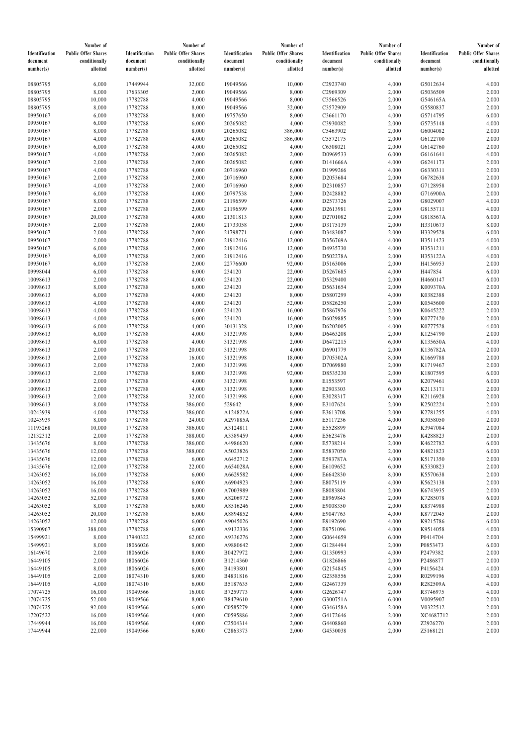|                | Number of                  |                | Number of                  |                | Number of                  |                | Number of                  |                | Number of                  |
|----------------|----------------------------|----------------|----------------------------|----------------|----------------------------|----------------|----------------------------|----------------|----------------------------|
| Identification | <b>Public Offer Shares</b> | Identification | <b>Public Offer Shares</b> | Identification | <b>Public Offer Shares</b> | Identification | <b>Public Offer Shares</b> | Identification | <b>Public Offer Shares</b> |
| document       | conditionally              | document       | conditionally              | document       | conditionally              | document       | conditionally              | document       | conditionally              |
| number(s)      | allotted                   | number(s)      | allotted                   | number(s)      | allotted                   | number(s)      | allotted                   | number(s)      | allotted                   |
|                |                            |                |                            |                |                            |                |                            |                |                            |
| 08805795       | 6,000                      | 17449944       | 32,000                     | 19049566       | 10,000                     | C2923740       | 4,000                      | G5012634       | 4,000                      |
| 08805795       | 8,000                      | 17633305       | 2,000                      | 19049566       | 8,000                      | C2969309       | 2,000                      | G5036509       | 2,000                      |
| 08805795       | 10,000                     | 17782788       | 4,000                      | 19049566       | 8,000                      | C3566526       | 2,000                      | G546165A       | 2,000                      |
| 08805795       | 8,000                      | 17782788       | 8,000                      | 19049566       | 32,000                     | C3572909       | 2,000                      | G5580837       | 2,000                      |
| 09950167       | 6,000                      | 17782788       | 8,000                      | 19757650       | 8,000                      | C3661170       | 4,000                      | G5714795       | 6,000                      |
| 09950167       | 6,000                      | 17782788       | 6,000                      | 20265082       | 4,000                      | C3930082       | 2,000                      | G5735148       | 4,000                      |
| 09950167       | 8,000                      | 17782788       | 8,000                      | 20265082       | 386,000                    | C5463902       |                            | G6004082       |                            |
|                |                            |                |                            |                |                            |                | 2,000                      |                | 2,000                      |
| 09950167       | 4,000                      | 17782788       | 4,000                      | 20265082       | 386,000                    | C5572175       | 2,000                      | G6122700       | 2,000                      |
| 09950167       | 6,000                      | 17782788       | 4,000                      | 20265082       | 4,000                      | C6308021       | 2,000                      | G6142760       | 2,000                      |
| 09950167       | 4,000                      | 17782788       | 2,000                      | 20265082       | 2,000                      | D0969533       | 6,000                      | G6161641       | 4,000                      |
| 09950167       | 2,000                      | 17782788       | 2,000                      | 20265082       | 6,000                      | D141666A       | 4,000                      | G6241173       | 2,000                      |
| 09950167       | 4,000                      | 17782788       | 4,000                      | 20716960       | 6,000                      | D1999266       | 4,000                      | G6330311       | 2,000                      |
| 09950167       | 2,000                      | 17782788       | 2,000                      | 20716960       | 8,000                      | D2053684       | 2,000                      | G6782638       | 2,000                      |
| 09950167       | 4,000                      | 17782788       | 2,000                      | 20716960       | 8,000                      | D2310857       | 2,000                      | G7128958       | 2,000                      |
| 09950167       | 6,000                      | 17782788       | 4,000                      | 20797538       | 2,000                      | D2428882       | 4,000                      | G716900A       | 2,000                      |
| 09950167       | 8,000                      | 17782788       | 2,000                      | 21196599       | 4,000                      | D2573726       | 2,000                      | G8029007       | 4,000                      |
| 09950167       | 2,000                      | 17782788       | 2,000                      | 21196599       | 4,000                      | D2613981       | 2,000                      | G8155711       | 4,000                      |
| 09950167       | 20,000                     | 17782788       | 4,000                      | 21301813       | 8,000                      | D2701082       | 2,000                      | G818567A       | 6,000                      |
| 09950167       | 2,000                      | 17782788       | 2,000                      | 21733058       | 2,000                      | D3175139       | 2,000                      | H3310673       | 8,000                      |
| 09950167       | 2,000                      | 17782788       | 2,000                      | 21798771       | 6,000                      | D3483087       | 2,000                      | H3329528       | 6,000                      |
| 09950167       | 2,000                      | 17782788       | 2,000                      | 21912416       | 12,000                     | D356769A       | 4,000                      | H3511423       | 4,000                      |
| 09950167       | 6,000                      | 17782788       | 2,000                      | 21912416       | 12,000                     | D4935730       | 4,000                      | H3531211       | 4,000                      |
|                |                            |                |                            |                |                            |                |                            |                |                            |
| 09950167       | 6,000                      | 17782788       | 2,000                      | 21912416       | 12,000                     | D502278A       | 2,000                      | H353122A       | 4,000                      |
| 09950167       | 6,000                      | 17782788       | 2,000                      | 22776600       | 92,000                     | D5163006       | 2,000                      | H4156953       | 2,000                      |
| 09998044       | 6,000                      | 17782788       | 6,000                      | 234120         | 22,000                     | D5267685       | 4,000                      | H447854        | 6,000                      |
| 10098613       | 2,000                      | 17782788       | 4,000                      | 234120         | 22,000                     | D5329400       | 2,000                      | H4660147       | 6,000                      |
| 10098613       | 8,000                      | 17782788       | 6,000                      | 234120         | 22,000                     | D5631654       | 2,000                      | K009370A       | 2,000                      |
| 10098613       | 6,000                      | 17782788       | 4,000                      | 234120         | 8,000                      | D5807299       | 4,000                      | K0382388       | 2,000                      |
| 10098613       | 4,000                      | 17782788       | 4,000                      | 234120         | 52,000                     | D5826250       | 2,000                      | K0545600       | 2,000                      |
| 10098613       | 4,000                      | 17782788       | 4,000                      | 234120         | 16,000                     | D5867976       | 2,000                      | K0645222       | 2,000                      |
| 10098613       | 4,000                      | 17782788       | 6,000                      | 234120         | 16,000                     | D6029885       | 2,000                      | K0777420       | 2,000                      |
| 10098613       | 6,000                      | 17782788       | 4,000                      | 30131328       | 12,000                     | D6202005       | 4,000                      | K0777528       | 4,000                      |
| 10098613       | 6,000                      | 17782788       | 4,000                      | 31321998       | 8,000                      | D6463208       | 2,000                      | K1254790       | 2,000                      |
| 10098613       | 6,000                      | 17782788       | 4,000                      | 31321998       | 2,000                      | D6472215       | 6,000                      | K135650A       | 4,000                      |
| 10098613       | 2,000                      | 17782788       | 20,000                     | 31321998       | 4,000                      | D6901779       | 2,000                      | K136782A       | 2,000                      |
| 10098613       | 2,000                      | 17782788       | 16,000                     | 31321998       | 18,000                     | D705302A       | 8,000                      | K1669788       | 2,000                      |
| 10098613       | 2,000                      | 17782788       | 2,000                      | 31321998       | 4,000                      | D7069880       | 2,000                      | K1719467       | 2,000                      |
|                |                            |                |                            |                |                            |                |                            |                |                            |
| 10098613       | 2,000                      | 17782788       | 8,000                      | 31321998       | 92,000                     | D8535230       | 2,000                      | K1807595       | 6,000                      |
| 10098613       | 2,000                      | 17782788       | 4,000                      | 31321998       | 8,000                      | E1553597       | 4,000                      | K2079461       | 6,000                      |
| 10098613       | 2,000                      | 17782788       | 4,000                      | 31321998       | 8,000                      | E2903303       | 6,000                      | K2113171       | 2,000                      |
| 10098613       | 2,000                      | 17782788       | 32,000                     | 31321998       | 6,000                      | E3028317       | 6,000                      | K2116928       | 2,000                      |
| 10098613       | 8,000                      | 17782788       | 386,000                    | 529642         | 8,000                      | E3107624       | 2,000                      | K2502224       | 2,000                      |
| 10243939       | 4,000                      | 17782788       | 386,000                    | A124822A       | 6,000                      | E3613708       | 2,000                      | K2781255       | 4,000                      |
| 10243939       | 8,000                      | 17782788       | 24,000                     | A297885A       | 2,000                      | E5117236       | 4,000                      | K3058050       | 2,000                      |
| 11193268       | 10,000                     | 17782788       | 386,000                    | A3124811       | 2,000                      | E5528899       | 2,000                      | K3947084       | 2,000                      |
| 12132312       | 2,000                      | 17782788       | 388,000                    | A3389459       | 4,000                      | E5623476       | 2,000                      | K4288823       | 2,000                      |
| 13435676       | 8,000                      | 17782788       | 386,000                    | A4986620       | 6,000                      | E5738214       | 2,000                      | K4622782       | 6,000                      |
| 13435676       | 12,000                     | 17782788       | 388,000                    | A5023826       | 2,000                      | E5837050       | 2,000                      | K4821823       | 6,000                      |
| 13435676       | 12,000                     | 17782788       | 6,000                      | A6452712       | 2,000                      | E593787A       | 4,000                      | K5171350       | 2,000                      |
| 13435676       | 12,000                     | 17782788       | 22,000                     | A654028A       | 6,000                      | E6109652       | 6,000                      | K5330823       | 2,000                      |
| 14263052       | 16,000                     | 17782788       | 6,000                      | A6629582       | 4,000                      | E6642830       | 8,000                      | K5570638       | 2,000                      |
| 14263052       | 16,000                     | 17782788       | 6,000                      | A6904923       | 2,000                      | E8075119       | 4,000                      | K5623138       | 2,000                      |
| 14263052       | 16,000                     | 17782788       | 8,000                      | A7003989       | 2,000                      | E8083804       | 2,000                      | K6743935       | 2,000                      |
| 14263052       | 52,000                     | 17782788       | 8,000                      | A8206972       | 2,000                      | E8969845       | 2,000                      | K7285078       | 6,000                      |
| 14263052       | 8,000                      | 17782788       | 6,000                      | A8516246       | 2,000                      | E9008350       | 2,000                      | K8374988       | 2,000                      |
| 14263052       |                            |                |                            |                |                            |                |                            |                |                            |
|                | 20,000                     | 17782788       | 6,000                      | A8894852       | 4,000                      | E9047763       | 4,000                      | K8772045       | 2,000                      |
| 14263052       | 12,000                     | 17782788       | 6,000                      | A9045026       | 4,000                      | E9192690       | 4,000                      | K9215786       | 6,000                      |
| 15390967       | 388,000                    | 17782788       | 6,000                      | A9132336       | 2,000                      | E9751096       | 4,000                      | K9514058       | 4,000                      |
| 15499921       | 8,000                      | 17940322       | 62,000                     | A9336276       | 2,000                      | G0644659       | 6,000                      | P0414704       | 2,000                      |
| 15499921       | 8,000                      | 18066026       | 8,000                      | A9880642       | 2,000                      | G1284494       | 2,000                      | P0853473       | 6,000                      |
| 16149670       | 2,000                      | 18066026       | 8,000                      | B0427972       | 2,000                      | G1350993       | 4,000                      | P2479382       | 2,000                      |
| 16449105       | 2,000                      | 18066026       | 8,000                      | B1214360       | 6,000                      | G1826866       | 2,000                      | P2486877       | 2,000                      |
| 16449105       | 8,000                      | 18066026       | 6,000                      | B4193801       | 6,000                      | G2154845       | 4,000                      | P4156424       | 4,000                      |
| 16449105       | 2,000                      | 18074310       | 8,000                      | B4831816       | 2,000                      | G2358556       | 2,000                      | R0299196       | 4,000                      |
| 16449105       | 4,000                      | 18074310       | 6,000                      | B5187635       | 2,000                      | G2467339       | 6,000                      | R282509A       | 4,000                      |
| 17074725       | 16,000                     | 19049566       | 16,000                     | B7259773       | 4,000                      | G2626747       | 2,000                      | R3746975       | 4,000                      |
| 17074725       | 52,000                     | 19049566       | 8,000                      | B8479610       | 2,000                      | G300751A       | 6,000                      | V0095907       | 2,000                      |
| 17074725       | 92,000                     | 19049566       | 6,000                      | C0585279       | 4,000                      | G346158A       | 2,000                      | V0322512       | 2,000                      |
| 17207522       | 16,000                     | 19049566       | 4,000                      | C0595886       | 2,000                      | G4172646       | 2,000                      | XC4687712      | 2,000                      |
| 17449944       | 16,000                     | 19049566       | 4,000                      | C2504314       | 2,000                      | G4408860       | 6,000                      | Z2926270       | 2,000                      |
| 17449944       | 22,000                     | 19049566       | 6,000                      | C2863373       | 2,000                      | G4530038       | 2,000                      | Z5168121       | 2,000                      |
|                |                            |                |                            |                |                            |                |                            |                |                            |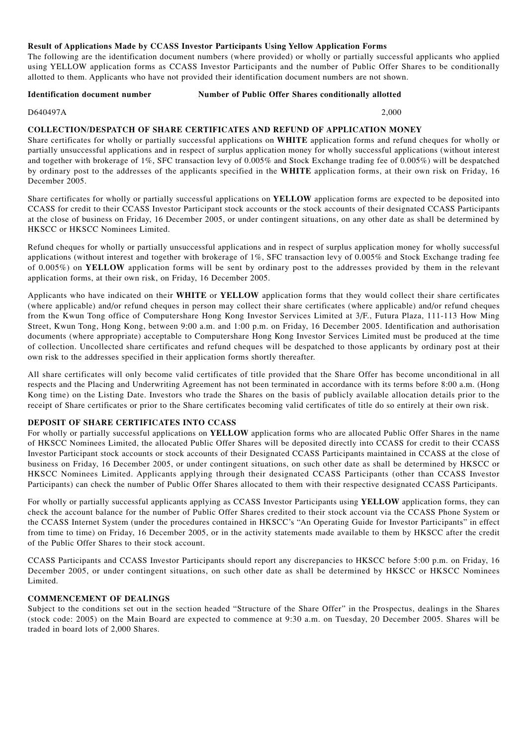#### **Result of Applications Made by CCASS Investor Participants Using Yellow Application Forms**

The following are the identification document numbers (where provided) or wholly or partially successful applicants who applied using YELLOW application forms as CCASS Investor Participants and the number of Public Offer Shares to be conditionally allotted to them. Applicants who have not provided their identification document numbers are not shown.

**Identification document number Shares Conditionally allotted** Number of Public Offer Shares conditionally allotted

D640497A 2,000

# **COLLECTION/DESPATCH OF SHARE CERTIFICATES AND REFUND OF APPLICATION MONEY**

Share certificates for wholly or partially successful applications on **WHITE** application forms and refund cheques for wholly or partially unsuccessful applications and in respect of surplus application money for wholly successful applications (without interest and together with brokerage of 1%, SFC transaction levy of 0.005% and Stock Exchange trading fee of 0.005%) will be despatched by ordinary post to the addresses of the applicants specified in the **WHITE** application forms, at their own risk on Friday, 16 December 2005.

Share certificates for wholly or partially successful applications on **YELLOW** application forms are expected to be deposited into CCASS for credit to their CCASS Investor Participant stock accounts or the stock accounts of their designated CCASS Participants at the close of business on Friday, 16 December 2005, or under contingent situations, on any other date as shall be determined by HKSCC or HKSCC Nominees Limited.

Refund cheques for wholly or partially unsuccessful applications and in respect of surplus application money for wholly successful applications (without interest and together with brokerage of 1%, SFC transaction levy of 0.005% and Stock Exchange trading fee of 0.005%) on **YELLOW** application forms will be sent by ordinary post to the addresses provided by them in the relevant application forms, at their own risk, on Friday, 16 December 2005.

Applicants who have indicated on their **WHITE** or **YELLOW** application forms that they would collect their share certificates (where applicable) and/or refund cheques in person may collect their share certificates (where applicable) and/or refund cheques from the Kwun Tong office of Computershare Hong Kong Investor Services Limited at 3/F., Futura Plaza, 111-113 How Ming Street, Kwun Tong, Hong Kong, between 9:00 a.m. and 1:00 p.m. on Friday, 16 December 2005. Identification and authorisation documents (where appropriate) acceptable to Computershare Hong Kong Investor Services Limited must be produced at the time of collection. Uncollected share certificates and refund cheques will be despatched to those applicants by ordinary post at their own risk to the addresses specified in their application forms shortly thereafter.

All share certificates will only become valid certificates of title provided that the Share Offer has become unconditional in all respects and the Placing and Underwriting Agreement has not been terminated in accordance with its terms before 8:00 a.m. (Hong Kong time) on the Listing Date. Investors who trade the Shares on the basis of publicly available allocation details prior to the receipt of Share certificates or prior to the Share certificates becoming valid certificates of title do so entirely at their own risk.

# **DEPOSIT OF SHARE CERTIFICATES INTO CCASS**

For wholly or partially successful applications on **YELLOW** application forms who are allocated Public Offer Shares in the name of HKSCC Nominees Limited, the allocated Public Offer Shares will be deposited directly into CCASS for credit to their CCASS Investor Participant stock accounts or stock accounts of their Designated CCASS Participants maintained in CCASS at the close of business on Friday, 16 December 2005, or under contingent situations, on such other date as shall be determined by HKSCC or HKSCC Nominees Limited. Applicants applying through their designated CCASS Participants (other than CCASS Investor Participants) can check the number of Public Offer Shares allocated to them with their respective designated CCASS Participants.

For wholly or partially successful applicants applying as CCASS Investor Participants using **YELLOW** application forms, they can check the account balance for the number of Public Offer Shares credited to their stock account via the CCASS Phone System or the CCASS Internet System (under the procedures contained in HKSCC's "An Operating Guide for Investor Participants" in effect from time to time) on Friday, 16 December 2005, or in the activity statements made available to them by HKSCC after the credit of the Public Offer Shares to their stock account.

CCASS Participants and CCASS Investor Participants should report any discrepancies to HKSCC before 5:00 p.m. on Friday, 16 December 2005, or under contingent situations, on such other date as shall be determined by HKSCC or HKSCC Nominees Limited.

# **COMMENCEMENT OF DEALINGS**

Subject to the conditions set out in the section headed "Structure of the Share Offer" in the Prospectus, dealings in the Shares (stock code: 2005) on the Main Board are expected to commence at 9:30 a.m. on Tuesday, 20 December 2005. Shares will be traded in board lots of 2,000 Shares.